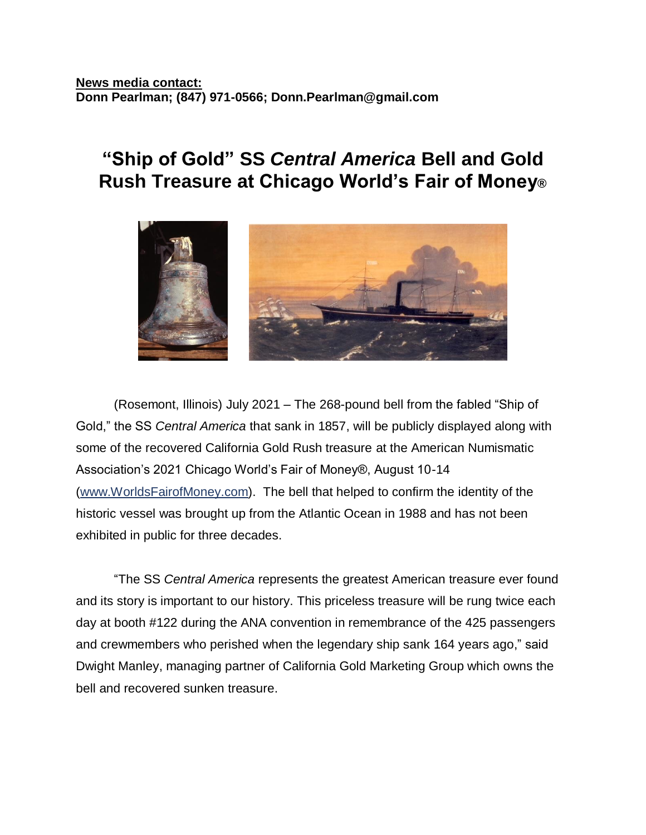## **"Ship of Gold" SS** *Central America* **Bell and Gold Rush Treasure at Chicago World's Fair of Money®**



(Rosemont, Illinois) July 2021 – The 268-pound bell from the fabled "Ship of Gold," the SS *Central America* that sank in 1857, will be publicly displayed along with some of the recovered California Gold Rush treasure at the American Numismatic Association's 2021 Chicago World's Fair of Money®, August 10-14 [\(www.WorldsFairofMoney.com\)](http://www.worldsfairofmoney.com/). The bell that helped to confirm the identity of the historic vessel was brought up from the Atlantic Ocean in 1988 and has not been exhibited in public for three decades.

"The SS *Central America* represents the greatest American treasure ever found and its story is important to our history. This priceless treasure will be rung twice each day at booth #122 during the ANA convention in remembrance of the 425 passengers and crewmembers who perished when the legendary ship sank 164 years ago," said Dwight Manley, managing partner of California Gold Marketing Group which owns the bell and recovered sunken treasure.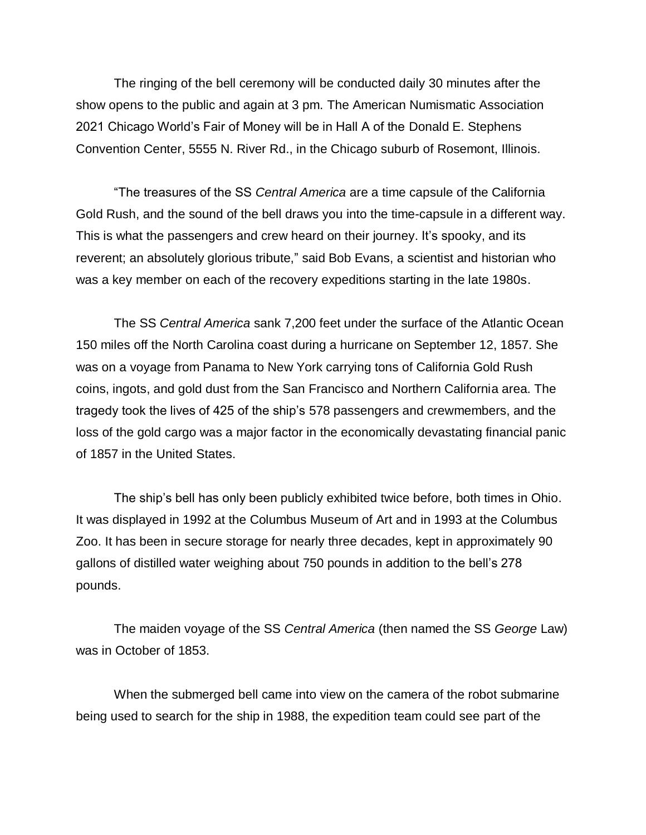The ringing of the bell ceremony will be conducted daily 30 minutes after the show opens to the public and again at 3 pm. The American Numismatic Association 2021 Chicago World's Fair of Money will be in Hall A of the Donald E. Stephens Convention Center, 5555 N. River Rd., in the Chicago suburb of Rosemont, Illinois.

"The treasures of the SS *Central America* are a time capsule of the California Gold Rush, and the sound of the bell draws you into the time-capsule in a different way. This is what the passengers and crew heard on their journey. It's spooky, and its reverent; an absolutely glorious tribute," said Bob Evans, a scientist and historian who was a key member on each of the recovery expeditions starting in the late 1980s.

The SS *Central America* sank 7,200 feet under the surface of the Atlantic Ocean 150 miles off the North Carolina coast during a hurricane on September 12, 1857. She was on a voyage from Panama to New York carrying tons of California Gold Rush coins, ingots, and gold dust from the San Francisco and Northern California area. The tragedy took the lives of 425 of the ship's 578 passengers and crewmembers, and the loss of the gold cargo was a major factor in the economically devastating financial panic of 1857 in the United States.

The ship's bell has only been publicly exhibited twice before, both times in Ohio. It was displayed in 1992 at the Columbus Museum of Art and in 1993 at the Columbus Zoo. It has been in secure storage for nearly three decades, kept in approximately 90 gallons of distilled water weighing about 750 pounds in addition to the bell's 278 pounds.

The maiden voyage of the SS *Central America* (then named the SS *George* Law) was in October of 1853.

When the submerged bell came into view on the camera of the robot submarine being used to search for the ship in 1988, the expedition team could see part of the